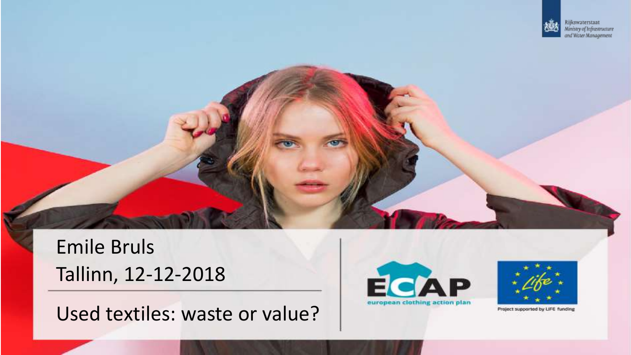

Emile Bruls Tallinn, 12-12-2018





Project supported by LIFE funding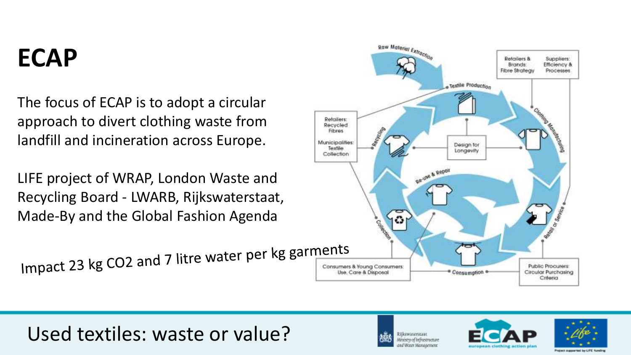# **ECAP**

The focus of ECAP is to adopt a circular approach to divert clothing waste from landfill and incineration across Europe.

LIFE project of WRAP, London Waste and Recycling Board - LWARB, Rijkswaterstaat, Made-By and the Global Fashion Agenda

Impact 23 kg CO2 and 7 litre water per kg garments







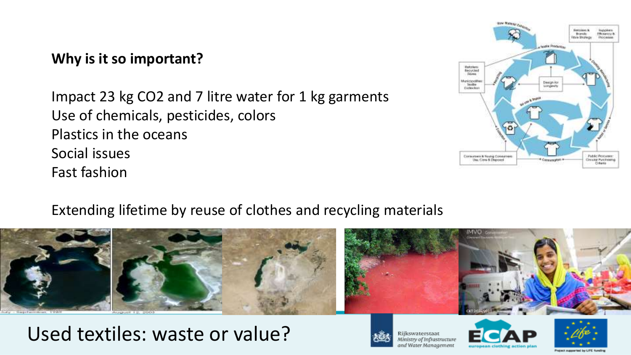### **Why is it so important?**

Impact 23 kg CO2 and 7 litre water for 1 kg garments Use of chemicals, pesticides, colors Plastics in the oceans Social issues Fast fashion



#### Extending lifetime by reuse of clothes and recycling materials



### Used textiles: waste or value?



Rijkswaterstaat .<br>Ministry of Infrastructure and Water Management



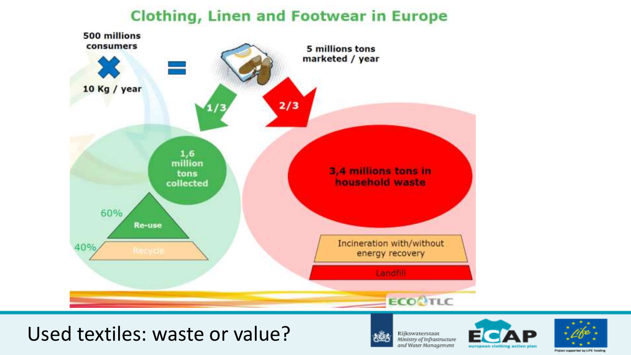### **Clothing, Linen and Footwear in Europe**



### Used textiles: waste or value?



Rijkswaterstaat<br>Ministry of Infrastructure and Water Management



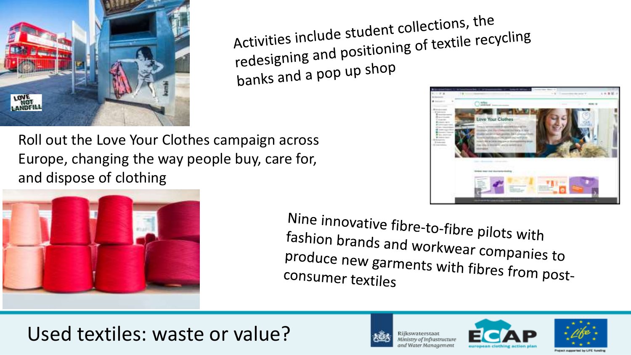

Activities include student collections, the<br>Activities include student collections, the Activities include student collections, encycling<br>redesigning and positioning of textile recycling banks and a pop up shop





Nine innovative fibre-to-fibre pilots with fashion brands and workwear companies to<br>produce new garments with su produce new garments with fibres from post-<br>consumer textiles consumer textiles

# Used textiles: waste or value?



nd Water Management



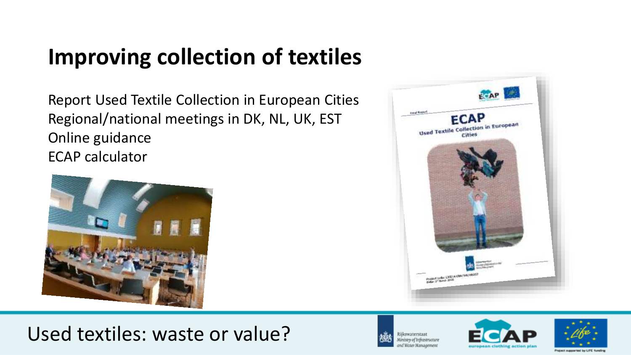# **Improving collection of textiles**

Report Used Textile Collection in European Cities Regional/national meetings in DK, NL, UK, EST Online guidance ECAP calculator











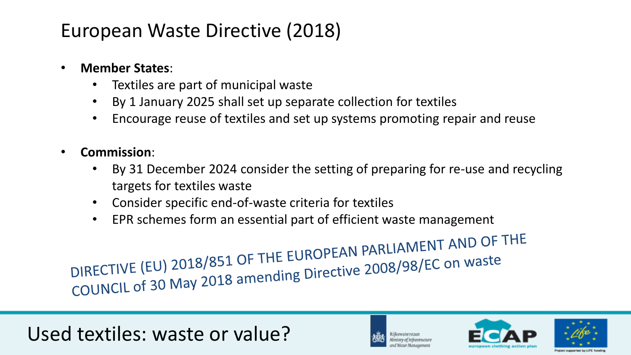## European Waste Directive (2018)

#### • **Member States**:

- Textiles are part of municipal waste
- By 1 January 2025 shall set up separate collection for textiles
- Encourage reuse of textiles and set up systems promoting repair and reuse
- **Commission**:
	- By 31 December 2024 consider the setting of preparing for re-use and recycling targets for textiles waste
	- Consider specific end-of-waste criteria for textiles
	- EPR schemes form an essential part of efficient waste management

DIRECTIVE (EU) 2018/851 OF THE EUROPEAN PARLIAMENT AND OF THE<br>DIRECTIVE (EU) 2018/851 OF THE EUROPEAN PARLIAMENT AND OF THE DIRECTIVE (EU) 2018/851 OF THE EUROPEAN PARLIAMENTS





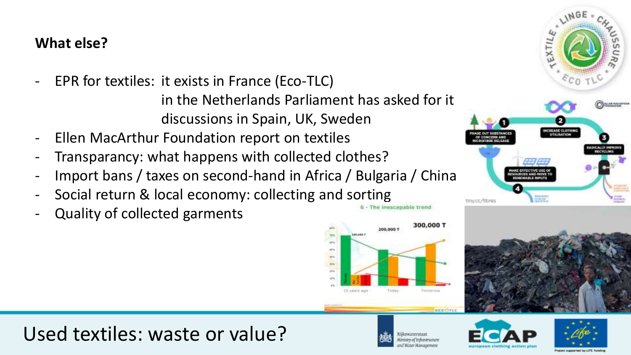### **What else?**

- EPR for textiles: it exists in France (Eco-TLC) in the Netherlands Parliament has asked for it discussions in Spain, UK, Sweden
- Ellen MacArthur Foundation report on textiles
- Transparancy: what happens with collected clothes?
- Import bans / taxes on second-hand in Africa / Bulgaria / China
- Social return & local economy: collecting and sorting same exceptively because
- Quality of collected garments